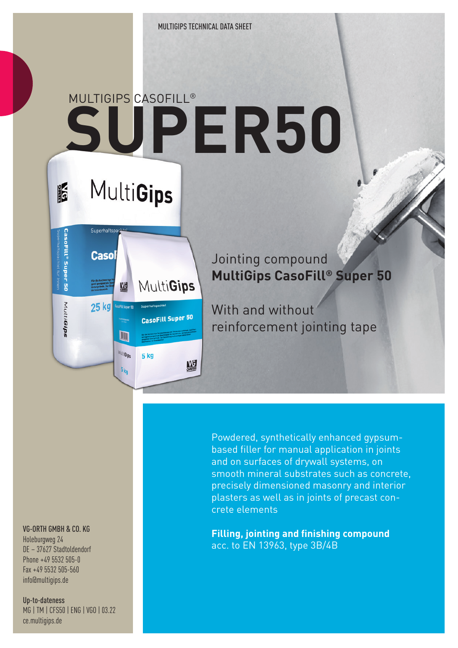# **SUPER50** MULTIGIPS CASOFILL®

## MultiGips

IF

CasoFill® Super 50

MultiGips



MultiGips

 $5k<sub>0</sub>$ 

5 kg

MG

#### Jointing compound **MultiGips CasoFill® Super 50**

With and without reinforcement jointing tape

Powdered, synthetically enhanced gypsumbased filler for manual application in joints and on surfaces of drywall systems, on smooth mineral substrates such as concrete, precisely dimensioned masonry and interior plasters as well as in joints of precast concrete elements

**Filling, jointing and finishing compound** acc. to EN 13963, type 3B/4B

#### VG-ORTH GMBH & CO. KG

Holeburgweg 24 DE – 37627 Stadtoldendorf Phone +49 5532 505-0 Fax +49 5532 505-560 info@multigips.de

Up-to-dateness MG | TM | CFS50 | ENG | VGO | 03.22 ce.multigips.de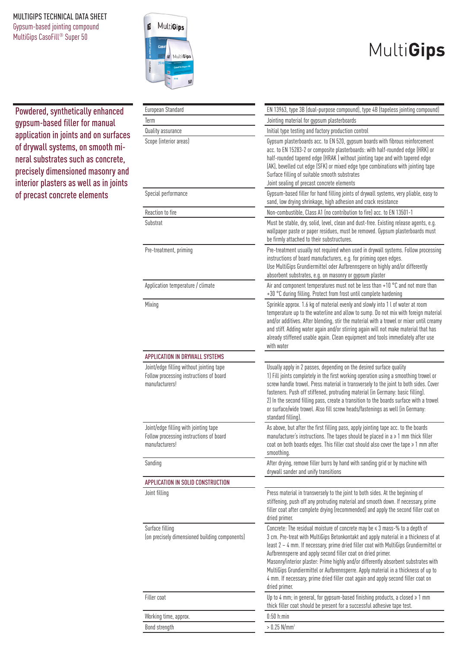#### MULTIGIPS TECHNICAL DATA SHEET

Gypsum-based jointing compound MultiGips CasoFill® Super 50



## MultiGips

Powdered, synthetically enhanced gypsum-based filler for manual application in joints and on surfaces of drywall systems, on smooth mineral substrates such as concrete, precisely dimensioned masonry and interior plasters as well as in joints of precast concrete elements

| European Standard                                                                                     | EN 13963, type 3B (dual-purpose compound), type 4B (tapeless jointing compound)                                                                                                                                                                                                                                                                                                                                                                                                                                                                                                                                      |  |  |  |  |
|-------------------------------------------------------------------------------------------------------|----------------------------------------------------------------------------------------------------------------------------------------------------------------------------------------------------------------------------------------------------------------------------------------------------------------------------------------------------------------------------------------------------------------------------------------------------------------------------------------------------------------------------------------------------------------------------------------------------------------------|--|--|--|--|
| Term                                                                                                  | Jointing material for gypsum plasterboards                                                                                                                                                                                                                                                                                                                                                                                                                                                                                                                                                                           |  |  |  |  |
| Quality assurance                                                                                     | Initial type testing and factory production control                                                                                                                                                                                                                                                                                                                                                                                                                                                                                                                                                                  |  |  |  |  |
| Scope (interior areas)                                                                                | Gypsum plasterboards acc. to EN 520, gypsum boards with fibrous reinforcement<br>acc. to EN 15283-2 or composite plasterboards: with half-rounded edge (HRK) or<br>half-rounded tapered edge (HRAK) without jointing tape and with tapered edge<br>(AK), bevelled cut edge (SFK) or mixed edge type combinations with jointing tape<br>Surface filling of suitable smooth substrates<br>Joint sealing of precast concrete elements                                                                                                                                                                                   |  |  |  |  |
| Special performance                                                                                   | Gypsum-based filler for hand filling joints of drywall systems, very pliable, easy to<br>sand, low drying shrinkage, high adhesion and crack resistance                                                                                                                                                                                                                                                                                                                                                                                                                                                              |  |  |  |  |
| Reaction to fire                                                                                      | Non-combustible, Class A1 (no contribution to fire) acc. to EN 13501-1                                                                                                                                                                                                                                                                                                                                                                                                                                                                                                                                               |  |  |  |  |
| Substrat                                                                                              | Must be stable, dry, solid, level, clean and dust-free. Existing release agents, e.g.<br>wallpaper paste or paper residues, must be removed. Gypsum plasterboards must<br>be firmly attached to their substructures.                                                                                                                                                                                                                                                                                                                                                                                                 |  |  |  |  |
| Pre-treatment, priming                                                                                | Pre-treatment usually not required when used in drywall systems. Follow processing<br>instructions of board manufacturers, e.g. for priming open edges.<br>Use MultiGips Grundiermittel oder Aufbrennsperre on highly and/or differently<br>absorbent substrates, e.g. on masonry or gypsum plaster                                                                                                                                                                                                                                                                                                                  |  |  |  |  |
| Application temperature / climate                                                                     | Air and component temperatures must not be less than +10 °C and not more than<br>+30 °C during filling. Protect from frost until complete hardening                                                                                                                                                                                                                                                                                                                                                                                                                                                                  |  |  |  |  |
| Mixing                                                                                                | Sprinkle approx. 1.6 kg of material evenly and slowly into 1 l of water at room<br>temperature up to the waterline and allow to sump. Do not mix with foreign material<br>and/or additives. After blending, stir the material with a trowel or mixer until creamy<br>and stiff. Adding water again and/or stirring again will not make material that has<br>already stiffened usable again. Clean equipment and tools immediately after use<br>with water                                                                                                                                                            |  |  |  |  |
| APPLICATION IN DRYWALL SYSTEMS                                                                        |                                                                                                                                                                                                                                                                                                                                                                                                                                                                                                                                                                                                                      |  |  |  |  |
| Joint/edge filling without jointing tape<br>Follow processing instructions of board<br>manufacturers! | Usually apply in 2 passes, depending on the desired surface quality<br>1) Fill joints completely in the first working operation using a smoothing trowel or<br>screw handle trowel. Press material in transversely to the joint to both sides. Cover<br>fasteners. Push off stiffened, protruding material (in Germany: basic filling).<br>2) In the second filling pass, create a transition to the boards surface with a trowel<br>or surface/wide trowel. Also fill screw heads/fastenings as well (in Germany:<br>standard filling).                                                                             |  |  |  |  |
| Joint/edge filling with jointing tape<br>Follow processing instructions of board<br>manufacturers!    | As above, but after the first filling pass, apply jointing tape acc. to the boards<br>manufacturer's instructions. The tapes should be placed in $a \ge 1$ mm thick filler<br>coat on both boards edges. This filler coat should also cover the tape > 1 mm after<br>smoothing.                                                                                                                                                                                                                                                                                                                                      |  |  |  |  |
| Sanding                                                                                               | After drying, remove filler burrs by hand with sanding grid or by machine with<br>drywall sander and unify transitions                                                                                                                                                                                                                                                                                                                                                                                                                                                                                               |  |  |  |  |
| APPLICATION IN SOLID CONSTRUCTION                                                                     |                                                                                                                                                                                                                                                                                                                                                                                                                                                                                                                                                                                                                      |  |  |  |  |
| Joint filling                                                                                         | Press material in transversely to the joint to both sides. At the beginning of<br>stiffening, push off any protruding material and smooth down. If necessary, prime<br>filler coat after complete drying (recommended) and apply the second filler coat on<br>dried primer.                                                                                                                                                                                                                                                                                                                                          |  |  |  |  |
| Surface filling<br>(on precisely dimensioned building components)                                     | Concrete: The residual moisture of concrete may be $\leq 3$ mass-% to a depth of<br>3 cm. Pre-treat with MultiGips Betonkontakt and apply material in a thickness of at<br>least 2 - 4 mm. If necessary, prime dried filler coat with MultiGips Grundiermittel or<br>Aufbrennsperre and apply second filler coat on dried primer.<br>Masonry/interior plaster: Prime highly and/or differently absorbent substrates with<br>MultiGips Grundiermittel or Aufbrennsperre. Apply material in a thickness of up to<br>4 mm. If necessary, prime dried filler coat again and apply second filler coat on<br>dried primer. |  |  |  |  |
| Filler coat                                                                                           | Up to 4 mm; in general, for gypsum-based finishing products, a closed $\geq 1$ mm<br>thick filler coat should be present for a successful adhesive tape test.                                                                                                                                                                                                                                                                                                                                                                                                                                                        |  |  |  |  |
| Working time, approx.                                                                                 | $0:50$ h:min                                                                                                                                                                                                                                                                                                                                                                                                                                                                                                                                                                                                         |  |  |  |  |
| Bond strength                                                                                         | $> 0.25$ N/mm <sup>2</sup>                                                                                                                                                                                                                                                                                                                                                                                                                                                                                                                                                                                           |  |  |  |  |